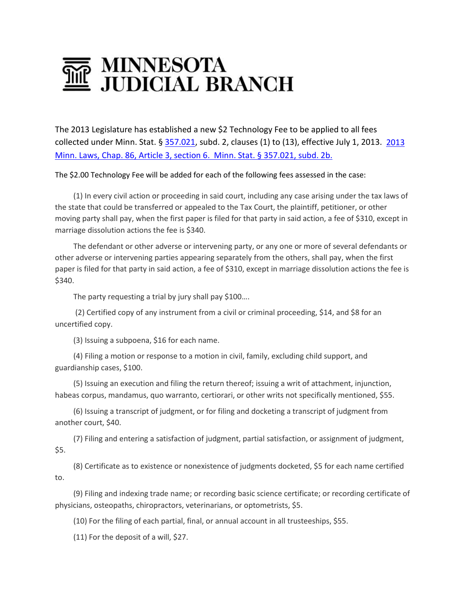## MINNESOTA<br>JUDICIAL BRANCH

The 2013 Legislature has established a new \$2 Technology Fee to be applied to all fees collected under Minn. Stat. § [357.021,](https://www.revisor.leg.state.mn.us/statutes/?id=357.021) subd. 2, clauses (1) to (13), effective July 1, 2013. [2013](https://www.revisor.mn.gov/bills/text.php?number=SF671&session_year=2013&session_number=0&version=latest)  [Minn. Laws, Chap. 86, Article 3, section 6.](https://www.revisor.mn.gov/bills/text.php?number=SF671&session_year=2013&session_number=0&version=latest) Minn. Stat. § 357.021, subd. 2b.

The \$2.00 Technology Fee will be added for each of the following fees assessed in the case:

(1) In every civil action or proceeding in said court, including any case arising under the tax laws of the state that could be transferred or appealed to the Tax Court, the plaintiff, petitioner, or other moving party shall pay, when the first paper is filed for that party in said action, a fee of \$310, except in marriage dissolution actions the fee is \$340.

The defendant or other adverse or intervening party, or any one or more of several defendants or other adverse or intervening parties appearing separately from the others, shall pay, when the first paper is filed for that party in said action, a fee of \$310, except in marriage dissolution actions the fee is \$340.

The party requesting a trial by jury shall pay \$100...

(2) Certified copy of any instrument from a civil or criminal proceeding, \$14, and \$8 for an uncertified copy.

(3) Issuing a subpoena, \$16 for each name.

(4) Filing a motion or response to a motion in civil, family, excluding child support, and guardianship cases, \$100.

(5) Issuing an execution and filing the return thereof; issuing a writ of attachment, injunction, habeas corpus, mandamus, quo warranto, certiorari, or other writs not specifically mentioned, \$55.

(6) Issuing a transcript of judgment, or for filing and docketing a transcript of judgment from another court, \$40.

(7) Filing and entering a satisfaction of judgment, partial satisfaction, or assignment of judgment, \$5.

(8) Certificate as to existence or nonexistence of judgments docketed, \$5 for each name certified to.

(9) Filing and indexing trade name; or recording basic science certificate; or recording certificate of physicians, osteopaths, chiropractors, veterinarians, or optometrists, \$5.

(10) For the filing of each partial, final, or annual account in all trusteeships, \$55.

(11) For the deposit of a will, \$27.